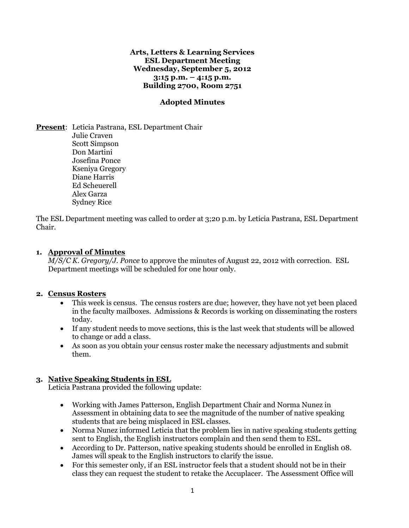#### **Arts, Letters & Learning Services ESL Department Meeting Wednesday, September 5, 2012 3:15 p.m. – 4:15 p.m. Building 2700, Room 2751**

### **Adopted Minutes**

**Present**: Leticia Pastrana, ESL Department Chair Julie Craven Scott Simpson Don Martini Josefina Ponce Kseniya Gregory Diane Harris Ed Scheuerell Alex Garza Sydney Rice

The ESL Department meeting was called to order at 3;20 p.m. by Leticia Pastrana, ESL Department Chair.

### **1. Approval of Minutes**

*M/S/C K. Gregory/J. Ponce* to approve the minutes of August 22, 2012 with correction. ESL Department meetings will be scheduled for one hour only.

#### **2. Census Rosters**

- This week is census. The census rosters are due; however, they have not yet been placed in the faculty mailboxes. Admissions & Records is working on disseminating the rosters today.
- If any student needs to move sections, this is the last week that students will be allowed to change or add a class.
- As soon as you obtain your census roster make the necessary adjustments and submit them.

### **3. Native Speaking Students in ESL**

Leticia Pastrana provided the following update:

- Working with James Patterson, English Department Chair and Norma Nunez in Assessment in obtaining data to see the magnitude of the number of native speaking students that are being misplaced in ESL classes.
- Norma Nunez informed Leticia that the problem lies in native speaking students getting sent to English, the English instructors complain and then send them to ESL.
- According to Dr. Patterson, native speaking students should be enrolled in English 08. James will speak to the English instructors to clarify the issue.
- For this semester only, if an ESL instructor feels that a student should not be in their class they can request the student to retake the Accuplacer. The Assessment Office will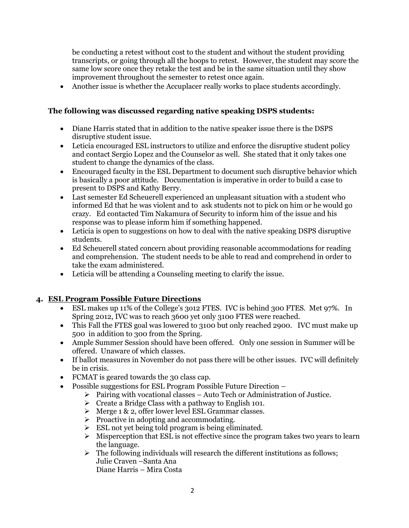be conducting a retest without cost to the student and without the student providing transcripts, or going through all the hoops to retest. However, the student may score the same low score once they retake the test and be in the same situation until they show improvement throughout the semester to retest once again.

Another issue is whether the Accuplacer really works to place students accordingly.

## **The following was discussed regarding native speaking DSPS students:**

- Diane Harris stated that in addition to the native speaker issue there is the DSPS disruptive student issue.
- Leticia encouraged ESL instructors to utilize and enforce the disruptive student policy and contact Sergio Lopez and the Counselor as well. She stated that it only takes one student to change the dynamics of the class.
- Encouraged faculty in the ESL Department to document such disruptive behavior which is basically a poor attitude. Documentation is imperative in order to build a case to present to DSPS and Kathy Berry.
- Last semester Ed Scheuerell experienced an unpleasant situation with a student who informed Ed that he was violent and to ask students not to pick on him or he would go crazy. Ed contacted Tim Nakamura of Security to inform him of the issue and his response was to please inform him if something happened.
- Leticia is open to suggestions on how to deal with the native speaking DSPS disruptive students.
- Ed Scheuerell stated concern about providing reasonable accommodations for reading and comprehension. The student needs to be able to read and comprehend in order to take the exam administered.
- Leticia will be attending a Counseling meeting to clarify the issue.

# **4. ESL Program Possible Future Directions**

- ESL makes up 11% of the College's 3o12 FTES. IVC is behind 300 FTES. Met 97%. In Spring 2012, IVC was to reach 3600 yet only 3100 FTES were reached.
- This Fall the FTES goal was lowered to 3100 but only reached 2900. IVC must make up 500 in addition to 300 from the Spring.
- Ample Summer Session should have been offered. Only one session in Summer will be offered. Unaware of which classes.
- If ballot measures in November do not pass there will be other issues. IVC will definitely be in crisis.
- FCMAT is geared towards the 30 class cap.
- Possible suggestions for ESL Program Possible Future Direction
	- $\triangleright$  Pairing with vocational classes Auto Tech or Administration of Justice.
	- $\triangleright$  Create a Bridge Class with a pathway to English 101.
	- $\triangleright$  Merge 1 & 2, offer lower level ESL Grammar classes.
	- $\triangleright$  Proactive in adopting and accommodating.
	- $\triangleright$  ESL not yet being told program is being eliminated.
	- $\triangleright$  Misperception that ESL is not effective since the program takes two years to learn the language.
	- $\triangleright$  The following individuals will research the different institutions as follows; Julie Craven –Santa Ana Diane Harris – Mira Costa